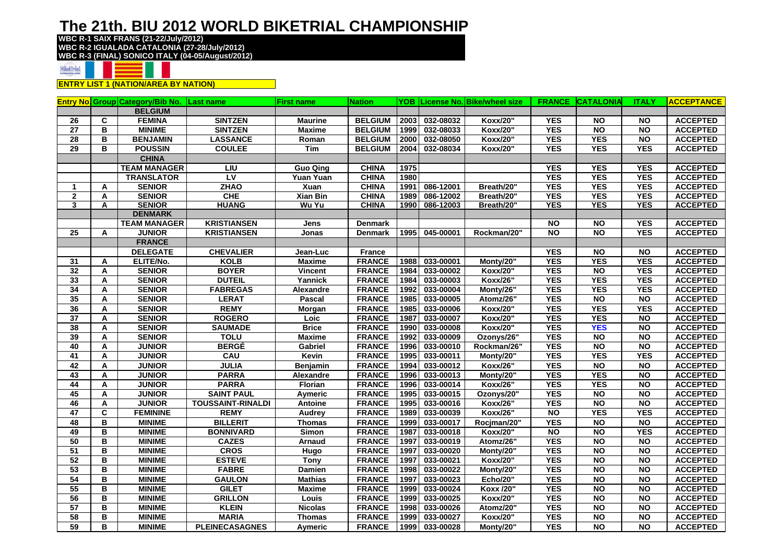## **The 21th. BIU 2012 WORLD BIKETRIAL CHAMPIONSHIP**

**WBC R-1 SAIX FRANS (21-22/July/2012) WBC R-2 IGUALADA CATALONIA (27-28/July/2012) WBC R-3 (FINAL) SONICO ITALY (04-05/August/2012)**



**ENTRY LIST 1 (NATION/AREA BY NATION)**

| <b>ACCEPTANCE</b> |
|-------------------|
|                   |
| <b>ACCEPTED</b>   |
| <b>ACCEPTED</b>   |
| <b>ACCEPTED</b>   |
| <b>ACCEPTED</b>   |
|                   |
| <b>ACCEPTED</b>   |
| <b>ACCEPTED</b>   |
| <b>ACCEPTED</b>   |
| <b>ACCEPTED</b>   |
| <b>ACCEPTED</b>   |
|                   |
| <b>ACCEPTED</b>   |
| <b>ACCEPTED</b>   |
|                   |
| <b>ACCEPTED</b>   |
| <b>ACCEPTED</b>   |
| <b>ACCEPTED</b>   |
| <b>ACCEPTED</b>   |
| <b>ACCEPTED</b>   |
| <b>ACCEPTED</b>   |
| <b>ACCEPTED</b>   |
| <b>ACCEPTED</b>   |
| <b>ACCEPTED</b>   |
| <b>ACCEPTED</b>   |
| <b>ACCEPTED</b>   |
| <b>ACCEPTED</b>   |
| <b>ACCEPTED</b>   |
| <b>ACCEPTED</b>   |
| <b>ACCEPTED</b>   |
| <b>ACCEPTED</b>   |
| <b>ACCEPTED</b>   |
| <b>ACCEPTED</b>   |
| <b>ACCEPTED</b>   |
| <b>ACCEPTED</b>   |
| <b>ACCEPTED</b>   |
| <b>ACCEPTED</b>   |
| <b>ACCEPTED</b>   |
| <b>ACCEPTED</b>   |
| <b>ACCEPTED</b>   |
| <b>ACCEPTED</b>   |
| <b>ACCEPTED</b>   |
| <b>ACCEPTED</b>   |
| <b>ACCEPTED</b>   |
| <b>ACCEPTED</b>   |
|                   |